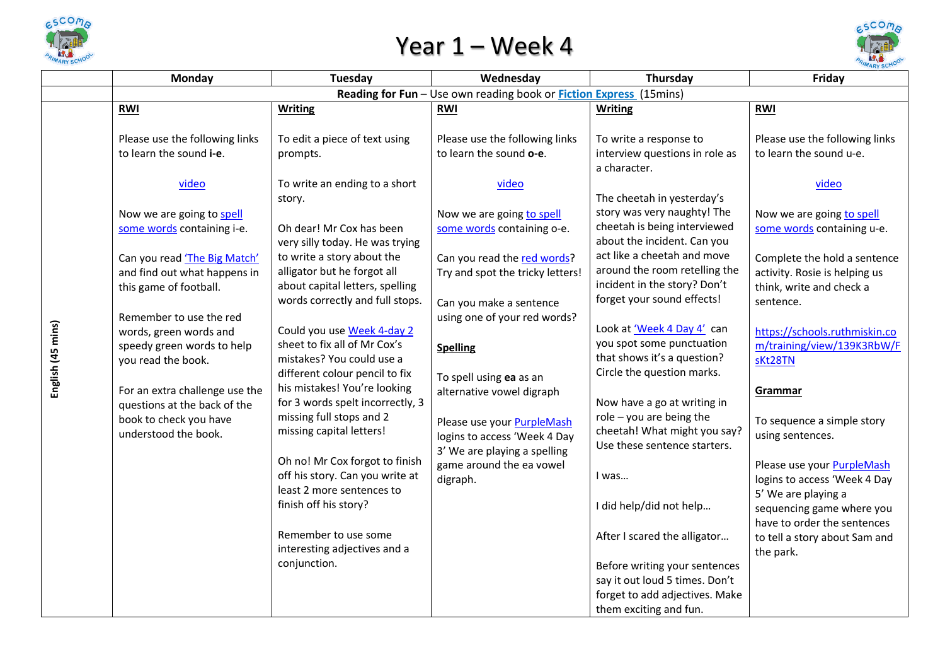

## Year 1 – Week 4



| Reading for Fun - Use own reading book or <b>Fiction Express</b> (15mins)<br><b>Writing</b><br><b>RWI</b><br><b>Writing</b><br><b>RWI</b><br><b>RWI</b><br>Please use the following links<br>To edit a piece of text using<br>Please use the following links<br>To write a response to<br>to learn the sound i-e.<br>to learn the sound o-e.<br>interview questions in role as<br>to learn the sound u-e.<br>prompts.<br>a character.<br>To write an ending to a short<br>video<br>video<br>video<br>The cheetah in yesterday's<br>story.<br>story was very naughty! The<br>Now we are going to spell<br>Now we are going to spell<br>cheetah is being interviewed<br>some words containing i-e.<br>Oh dear! Mr Cox has been<br>some words containing o-e.<br>about the incident. Can you<br>very silly today. He was trying<br>act like a cheetah and move<br>to write a story about the<br>Can you read the red words?<br>Can you read 'The Big Match'<br>around the room retelling the<br>alligator but he forgot all<br>and find out what happens in<br>Try and spot the tricky letters!<br>incident in the story? Don't<br>about capital letters, spelling<br>this game of football.<br>forget your sound effects!<br>words correctly and full stops.<br>sentence.<br>Can you make a sentence<br>Remember to use the red<br>using one of your red words?<br>Look at 'Week 4 Day 4' can<br>Could you use Week 4-day 2<br>words, green words and<br>you spot some punctuation<br>sheet to fix all of Mr Cox's<br>speedy green words to help<br><b>Spelling</b><br>that shows it's a question?<br>mistakes? You could use a<br>you read the book.<br>sKt28TN<br>Circle the question marks.<br>different colour pencil to fix<br>To spell using ea as an<br>his mistakes! You're looking<br>For an extra challenge use the<br>alternative vowel digraph<br>Grammar<br>for 3 words spelt incorrectly, 3<br>Now have a go at writing in<br>questions at the back of the |                                                                                                       | Friday                                                                                                                                                                                                                                                                                                                                                                                                        |  |  |  |  |  |  |
|------------------------------------------------------------------------------------------------------------------------------------------------------------------------------------------------------------------------------------------------------------------------------------------------------------------------------------------------------------------------------------------------------------------------------------------------------------------------------------------------------------------------------------------------------------------------------------------------------------------------------------------------------------------------------------------------------------------------------------------------------------------------------------------------------------------------------------------------------------------------------------------------------------------------------------------------------------------------------------------------------------------------------------------------------------------------------------------------------------------------------------------------------------------------------------------------------------------------------------------------------------------------------------------------------------------------------------------------------------------------------------------------------------------------------------------------------------------------------------------------------------------------------------------------------------------------------------------------------------------------------------------------------------------------------------------------------------------------------------------------------------------------------------------------------------------------------------------------------------------------------------------------------------------------------------------------------------------------|-------------------------------------------------------------------------------------------------------|---------------------------------------------------------------------------------------------------------------------------------------------------------------------------------------------------------------------------------------------------------------------------------------------------------------------------------------------------------------------------------------------------------------|--|--|--|--|--|--|
|                                                                                                                                                                                                                                                                                                                                                                                                                                                                                                                                                                                                                                                                                                                                                                                                                                                                                                                                                                                                                                                                                                                                                                                                                                                                                                                                                                                                                                                                                                                                                                                                                                                                                                                                                                                                                                                                                                                                                                        |                                                                                                       |                                                                                                                                                                                                                                                                                                                                                                                                               |  |  |  |  |  |  |
|                                                                                                                                                                                                                                                                                                                                                                                                                                                                                                                                                                                                                                                                                                                                                                                                                                                                                                                                                                                                                                                                                                                                                                                                                                                                                                                                                                                                                                                                                                                                                                                                                                                                                                                                                                                                                                                                                                                                                                        |                                                                                                       |                                                                                                                                                                                                                                                                                                                                                                                                               |  |  |  |  |  |  |
| Please use your PurpleMash<br>cheetah! What might you say?<br>missing capital letters!<br>understood the book.<br>using sentences.<br>logins to access 'Week 4 Day<br>Use these sentence starters.<br>3' We are playing a spelling<br>Oh no! Mr Cox forgot to finish<br>game around the ea vowel<br>off his story. Can you write at<br>I was<br>digraph.<br>least 2 more sentences to<br>5' We are playing a<br>finish off his story?<br>I did help/did not help                                                                                                                                                                                                                                                                                                                                                                                                                                                                                                                                                                                                                                                                                                                                                                                                                                                                                                                                                                                                                                                                                                                                                                                                                                                                                                                                                                                                                                                                                                       | English (45 mins)<br>missing full stops and 2<br>role $-$ you are being the<br>book to check you have | Please use the following links<br>Now we are going to spell<br>some words containing u-e.<br>Complete the hold a sentence<br>activity. Rosie is helping us<br>think, write and check a<br>https://schools.ruthmiskin.co<br>m/training/view/139K3RbW/F<br>To sequence a simple story<br>Please use your PurpleMash<br>logins to access 'Week 4 Day<br>sequencing game where you<br>have to order the sentences |  |  |  |  |  |  |
|                                                                                                                                                                                                                                                                                                                                                                                                                                                                                                                                                                                                                                                                                                                                                                                                                                                                                                                                                                                                                                                                                                                                                                                                                                                                                                                                                                                                                                                                                                                                                                                                                                                                                                                                                                                                                                                                                                                                                                        | forget to add adjectives. Make<br>them exciting and fun.                                              |                                                                                                                                                                                                                                                                                                                                                                                                               |  |  |  |  |  |  |